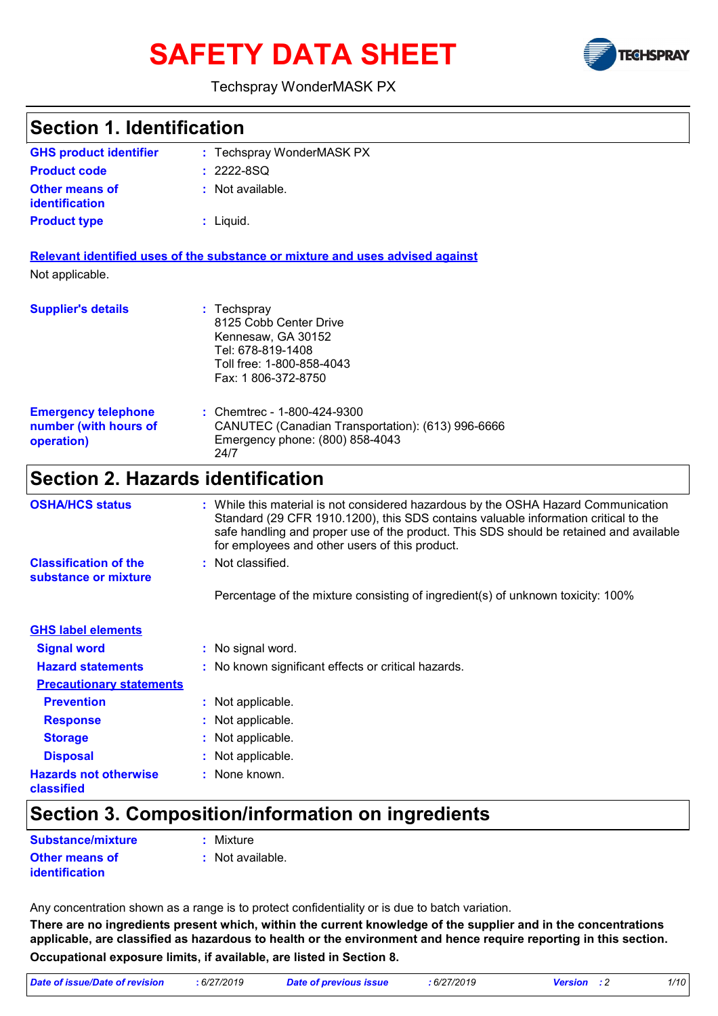# **SAFETY DATA SHEET**



#### Techspray WonderMASK PX

| <b>Section 1. Identification</b>                                  |                                                                                                                                                                                                                                                                                                                                            |
|-------------------------------------------------------------------|--------------------------------------------------------------------------------------------------------------------------------------------------------------------------------------------------------------------------------------------------------------------------------------------------------------------------------------------|
| <b>GHS product identifier</b>                                     | : Techspray WonderMASK PX                                                                                                                                                                                                                                                                                                                  |
| <b>Product code</b>                                               | $: 2222 - 8SQ$                                                                                                                                                                                                                                                                                                                             |
| <b>Other means of</b><br><b>identification</b>                    | : Not available.                                                                                                                                                                                                                                                                                                                           |
| <b>Product type</b>                                               | : Liquid.                                                                                                                                                                                                                                                                                                                                  |
|                                                                   | Relevant identified uses of the substance or mixture and uses advised against                                                                                                                                                                                                                                                              |
| Not applicable.                                                   |                                                                                                                                                                                                                                                                                                                                            |
| <b>Supplier's details</b>                                         | $:$ Techspray<br>8125 Cobb Center Drive<br>Kennesaw, GA 30152<br>Tel: 678-819-1408<br>Toll free: 1-800-858-4043<br>Fax: 1806-372-8750                                                                                                                                                                                                      |
| <b>Emergency telephone</b><br>number (with hours of<br>operation) | : Chemtrec - 1-800-424-9300<br>CANUTEC (Canadian Transportation): (613) 996-6666<br>Emergency phone: (800) 858-4043<br>24/7                                                                                                                                                                                                                |
| <b>Section 2. Hazards identification</b>                          |                                                                                                                                                                                                                                                                                                                                            |
| <b>OSHA/HCS status</b><br><b>Classification of the</b>            | : While this material is not considered hazardous by the OSHA Hazard Communication<br>Standard (29 CFR 1910.1200), this SDS contains valuable information critical to the<br>safe handling and proper use of the product. This SDS should be retained and available<br>for employees and other users of this product.<br>: Not classified. |
| substance or mixture                                              | Percentage of the mixture consisting of ingredient(s) of unknown toxicity: 100%                                                                                                                                                                                                                                                            |
| <b>GHS label elements</b>                                         |                                                                                                                                                                                                                                                                                                                                            |
| <b>Signal word</b>                                                | : No signal word.                                                                                                                                                                                                                                                                                                                          |
| <b>Hazard statements</b>                                          | : No known significant effects or critical hazards.                                                                                                                                                                                                                                                                                        |
| <b>Precautionary statements</b>                                   |                                                                                                                                                                                                                                                                                                                                            |
| <b>Prevention</b>                                                 | Not applicable.                                                                                                                                                                                                                                                                                                                            |
| <b>Response</b>                                                   | Not applicable.                                                                                                                                                                                                                                                                                                                            |
| <b>Storage</b>                                                    | Not applicable.                                                                                                                                                                                                                                                                                                                            |
| <b>Disposal</b>                                                   | Not applicable.                                                                                                                                                                                                                                                                                                                            |
| <b>Hazards not otherwise</b>                                      | None known.                                                                                                                                                                                                                                                                                                                                |
|                                                                   |                                                                                                                                                                                                                                                                                                                                            |

### **Section 3. Composition/information on ingredients**

| Substance/mixture     | : Mixture          |
|-----------------------|--------------------|
| <b>Other means of</b> | $:$ Not available. |
| identification        |                    |

**classified**

Any concentration shown as a range is to protect confidentiality or is due to batch variation.

**There are no ingredients present which, within the current knowledge of the supplier and in the concentrations applicable, are classified as hazardous to health or the environment and hence require reporting in this section. Occupational exposure limits, if available, are listed in Section 8.**

| Date of issue/Date of revision | 6/27/2019 | Date of previous issue | 6/27/2019 | <b>Version</b> : 2 | 1/10 |
|--------------------------------|-----------|------------------------|-----------|--------------------|------|
|--------------------------------|-----------|------------------------|-----------|--------------------|------|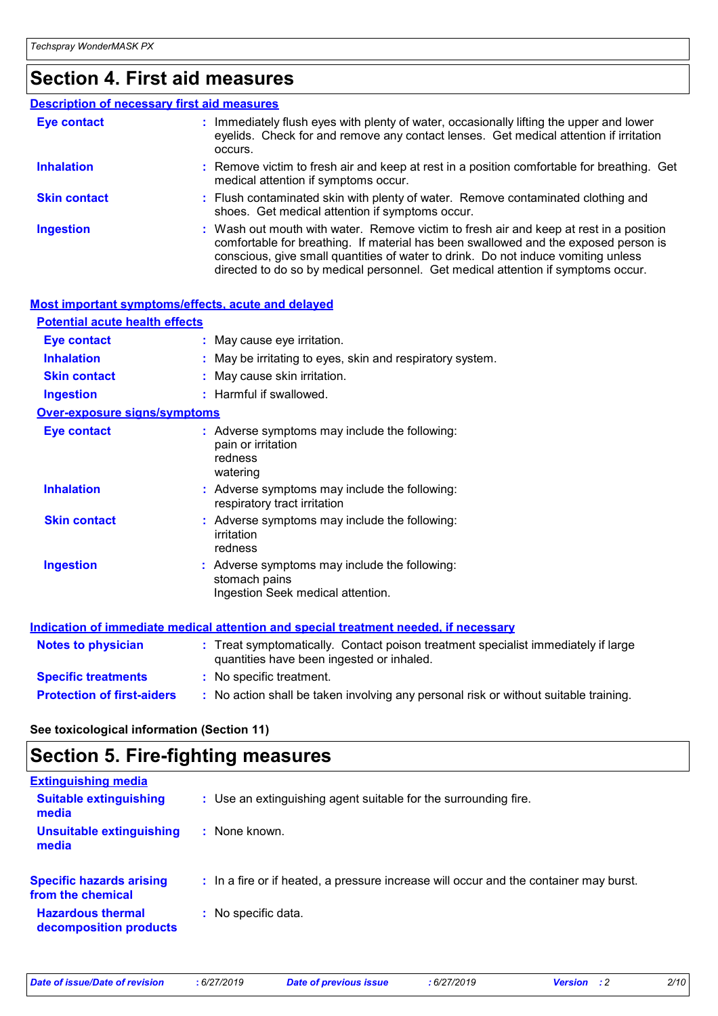### **Section 4. First aid measures**

#### Wash out mouth with water. Remove victim to fresh air and keep at rest in a position comfortable for breathing. If material has been swallowed and the exposed person is conscious, give small quantities of water to drink. Do not induce vomiting unless directed to do so by medical personnel. Get medical attention if symptoms occur. **:** Immediately flush eyes with plenty of water, occasionally lifting the upper and lower eyelids. Check for and remove any contact lenses. Get medical attention if irritation occurs. Flush contaminated skin with plenty of water. Remove contaminated clothing and **:** shoes. Get medical attention if symptoms occur. Remove victim to fresh air and keep at rest in a position comfortable for breathing. Get **:** medical attention if symptoms occur. **Eye contact Skin contact Inhalation Ingestion : Description of necessary first aid measures**

| Most important symptoms/effects, acute and delayed |                                                                                                                                |
|----------------------------------------------------|--------------------------------------------------------------------------------------------------------------------------------|
| <b>Potential acute health effects</b>              |                                                                                                                                |
| <b>Eye contact</b>                                 | : May cause eye irritation.                                                                                                    |
| <b>Inhalation</b>                                  | : May be irritating to eyes, skin and respiratory system.                                                                      |
| <b>Skin contact</b>                                | : May cause skin irritation.                                                                                                   |
| <b>Ingestion</b>                                   | : Harmful if swallowed.                                                                                                        |
| Over-exposure signs/symptoms                       |                                                                                                                                |
| <b>Eye contact</b>                                 | : Adverse symptoms may include the following:<br>pain or irritation<br>redness<br>watering                                     |
| <b>Inhalation</b>                                  | : Adverse symptoms may include the following:<br>respiratory tract irritation                                                  |
| <b>Skin contact</b>                                | : Adverse symptoms may include the following:<br>irritation<br>redness                                                         |
| <b>Ingestion</b>                                   | : Adverse symptoms may include the following:<br>stomach pains<br>Ingestion Seek medical attention.                            |
|                                                    | Indication of immediate medical attention and special treatment needed, if necessary                                           |
| <b>Notes to physician</b>                          | : Treat symptomatically. Contact poison treatment specialist immediately if large<br>quantities have been ingested or inhaled. |
| <b>Specific treatments</b>                         | : No specific treatment.                                                                                                       |
| <b>Protection of first-aiders</b>                  | : No action shall be taken involving any personal risk or without suitable training.                                           |

**See toxicological information (Section 11)**

### **Section 5. Fire-fighting measures**

| : Use an extinguishing agent suitable for the surrounding fire.                       |
|---------------------------------------------------------------------------------------|
| : None known.                                                                         |
| : In a fire or if heated, a pressure increase will occur and the container may burst. |
| : No specific data.                                                                   |
|                                                                                       |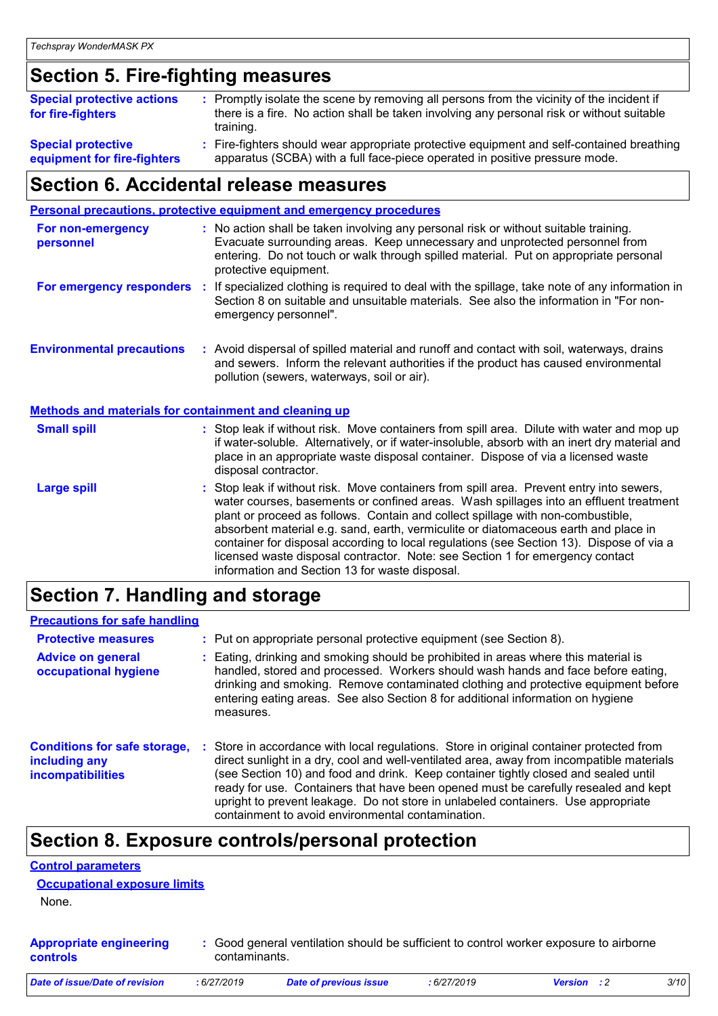### **Section 5. Fire-fighting measures**

| <b>Special protective actions</b><br>for fire-fighters | : Promptly isolate the scene by removing all persons from the vicinity of the incident if<br>there is a fire. No action shall be taken involving any personal risk or without suitable<br>training. |
|--------------------------------------------------------|-----------------------------------------------------------------------------------------------------------------------------------------------------------------------------------------------------|
| <b>Special protective</b>                              | : Fire-fighters should wear appropriate protective equipment and self-contained breathing                                                                                                           |
| equipment for fire-fighters                            | apparatus (SCBA) with a full face-piece operated in positive pressure mode.                                                                                                                         |

### **Section 6. Accidental release measures**

|                                                              | <b>Personal precautions, protective equipment and emergency procedures</b>                                                                                                                                                                                                                                                                                                                                                                                                                                                                                                                 |
|--------------------------------------------------------------|--------------------------------------------------------------------------------------------------------------------------------------------------------------------------------------------------------------------------------------------------------------------------------------------------------------------------------------------------------------------------------------------------------------------------------------------------------------------------------------------------------------------------------------------------------------------------------------------|
| For non-emergency<br>personnel                               | : No action shall be taken involving any personal risk or without suitable training.<br>Evacuate surrounding areas. Keep unnecessary and unprotected personnel from<br>entering. Do not touch or walk through spilled material. Put on appropriate personal<br>protective equipment.                                                                                                                                                                                                                                                                                                       |
| For emergency responders                                     | : If specialized clothing is required to deal with the spillage, take note of any information in<br>Section 8 on suitable and unsuitable materials. See also the information in "For non-<br>emergency personnel".                                                                                                                                                                                                                                                                                                                                                                         |
| <b>Environmental precautions</b>                             | : Avoid dispersal of spilled material and runoff and contact with soil, waterways, drains<br>and sewers. Inform the relevant authorities if the product has caused environmental<br>pollution (sewers, waterways, soil or air).                                                                                                                                                                                                                                                                                                                                                            |
| <b>Methods and materials for containment and cleaning up</b> |                                                                                                                                                                                                                                                                                                                                                                                                                                                                                                                                                                                            |
| <b>Small spill</b>                                           | : Stop leak if without risk. Move containers from spill area. Dilute with water and mop up<br>if water-soluble. Alternatively, or if water-insoluble, absorb with an inert dry material and<br>place in an appropriate waste disposal container. Dispose of via a licensed waste<br>disposal contractor.                                                                                                                                                                                                                                                                                   |
| <b>Large spill</b>                                           | : Stop leak if without risk. Move containers from spill area. Prevent entry into sewers,<br>water courses, basements or confined areas. Wash spillages into an effluent treatment<br>plant or proceed as follows. Contain and collect spillage with non-combustible,<br>absorbent material e.g. sand, earth, vermiculite or diatomaceous earth and place in<br>container for disposal according to local regulations (see Section 13). Dispose of via a<br>licensed waste disposal contractor. Note: see Section 1 for emergency contact<br>information and Section 13 for waste disposal. |
|                                                              |                                                                                                                                                                                                                                                                                                                                                                                                                                                                                                                                                                                            |

### **Section 7. Handling and storage**

#### **Precautions for safe handling**

| <b>Protective measures</b><br><b>Advice on general</b><br>occupational hygiene   | : Put on appropriate personal protective equipment (see Section 8).<br>Eating, drinking and smoking should be prohibited in areas where this material is<br>handled, stored and processed. Workers should wash hands and face before eating,<br>drinking and smoking. Remove contaminated clothing and protective equipment before<br>entering eating areas. See also Section 8 for additional information on hygiene<br>measures.                                                                          |
|----------------------------------------------------------------------------------|-------------------------------------------------------------------------------------------------------------------------------------------------------------------------------------------------------------------------------------------------------------------------------------------------------------------------------------------------------------------------------------------------------------------------------------------------------------------------------------------------------------|
| <b>Conditions for safe storage,</b><br>including any<br><b>incompatibilities</b> | Store in accordance with local regulations. Store in original container protected from<br>direct sunlight in a dry, cool and well-ventilated area, away from incompatible materials<br>(see Section 10) and food and drink. Keep container tightly closed and sealed until<br>ready for use. Containers that have been opened must be carefully resealed and kept<br>upright to prevent leakage. Do not store in unlabeled containers. Use appropriate<br>containment to avoid environmental contamination. |

### **Section 8. Exposure controls/personal protection**

#### **Control parameters**

| <b>Occupational exposure limits</b> |
|-------------------------------------|
|-------------------------------------|

None.

| <b>Appropriate engineering</b> | : Good general ventilation should be sufficient to control worker exposure to airborne |
|--------------------------------|----------------------------------------------------------------------------------------|
| <b>controls</b>                | contaminants.                                                                          |

| Date of issue/Date of revision | 6/27/2019 | Date of previous issue | : 6/27/2019 | <b>Version</b> : 2 |  |
|--------------------------------|-----------|------------------------|-------------|--------------------|--|
|--------------------------------|-----------|------------------------|-------------|--------------------|--|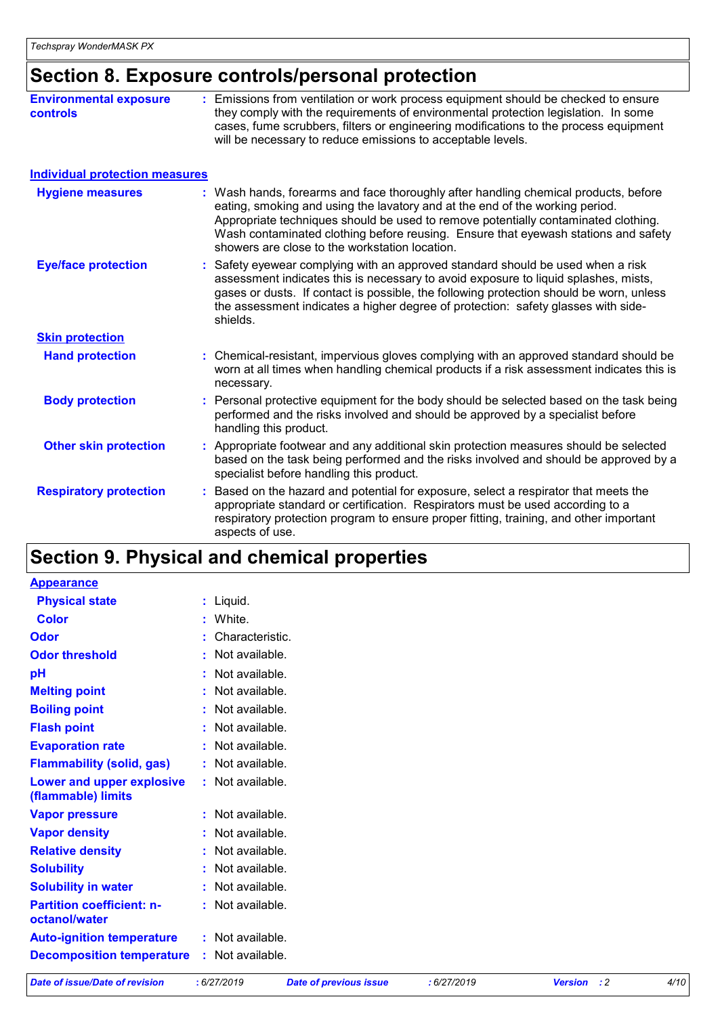### **Section 8. Exposure controls/personal protection**

| <b>Environmental exposure</b><br><b>controls</b> | : Emissions from ventilation or work process equipment should be checked to ensure<br>they comply with the requirements of environmental protection legislation. In some<br>cases, fume scrubbers, filters or engineering modifications to the process equipment<br>will be necessary to reduce emissions to acceptable levels.                                                                   |
|--------------------------------------------------|---------------------------------------------------------------------------------------------------------------------------------------------------------------------------------------------------------------------------------------------------------------------------------------------------------------------------------------------------------------------------------------------------|
| <b>Individual protection measures</b>            |                                                                                                                                                                                                                                                                                                                                                                                                   |
| <b>Hygiene measures</b>                          | : Wash hands, forearms and face thoroughly after handling chemical products, before<br>eating, smoking and using the lavatory and at the end of the working period.<br>Appropriate techniques should be used to remove potentially contaminated clothing.<br>Wash contaminated clothing before reusing. Ensure that eyewash stations and safety<br>showers are close to the workstation location. |
| <b>Eye/face protection</b>                       | Safety eyewear complying with an approved standard should be used when a risk<br>assessment indicates this is necessary to avoid exposure to liquid splashes, mists,<br>gases or dusts. If contact is possible, the following protection should be worn, unless<br>the assessment indicates a higher degree of protection: safety glasses with side-<br>shields.                                  |
| <b>Skin protection</b>                           |                                                                                                                                                                                                                                                                                                                                                                                                   |
| <b>Hand protection</b>                           | : Chemical-resistant, impervious gloves complying with an approved standard should be<br>worn at all times when handling chemical products if a risk assessment indicates this is<br>necessary.                                                                                                                                                                                                   |
| <b>Body protection</b>                           | Personal protective equipment for the body should be selected based on the task being<br>performed and the risks involved and should be approved by a specialist before<br>handling this product.                                                                                                                                                                                                 |
| <b>Other skin protection</b>                     | Appropriate footwear and any additional skin protection measures should be selected<br>based on the task being performed and the risks involved and should be approved by a<br>specialist before handling this product.                                                                                                                                                                           |
| <b>Respiratory protection</b>                    | Based on the hazard and potential for exposure, select a respirator that meets the<br>appropriate standard or certification. Respirators must be used according to a<br>respiratory protection program to ensure proper fitting, training, and other important<br>aspects of use.                                                                                                                 |

### **Section 9. Physical and chemical properties**

| <b>Date of issue/Date of revision</b>             | : 6/27/2019      | <b>Date of previous issue</b> | : 6/27/2019 | <b>Version</b> : 2 | 4/10 |
|---------------------------------------------------|------------------|-------------------------------|-------------|--------------------|------|
| <b>Decomposition temperature</b>                  | : Not available. |                               |             |                    |      |
| <b>Auto-ignition temperature</b>                  | : Not available. |                               |             |                    |      |
| <b>Partition coefficient: n-</b><br>octanol/water | : Not available. |                               |             |                    |      |
| <b>Solubility in water</b>                        | : Not available. |                               |             |                    |      |
| <b>Solubility</b>                                 | Not available.   |                               |             |                    |      |
| <b>Relative density</b>                           | : Not available. |                               |             |                    |      |
| <b>Vapor density</b>                              | : Not available. |                               |             |                    |      |
| <b>Vapor pressure</b>                             | : Not available. |                               |             |                    |      |
| Lower and upper explosive<br>(flammable) limits   | : Not available. |                               |             |                    |      |
| <b>Flammability (solid, gas)</b>                  | : Not available. |                               |             |                    |      |
| <b>Evaporation rate</b>                           | : Not available. |                               |             |                    |      |
| <b>Flash point</b>                                | : Not available. |                               |             |                    |      |
| <b>Boiling point</b>                              | Not available.   |                               |             |                    |      |
| <b>Melting point</b>                              | : Not available. |                               |             |                    |      |
| pH                                                | : Not available. |                               |             |                    |      |
| <b>Odor threshold</b>                             | : Not available. |                               |             |                    |      |
| <b>Odor</b>                                       | Characteristic.  |                               |             |                    |      |
| <b>Color</b>                                      | : White.         |                               |             |                    |      |
| <b>Physical state</b>                             | : Liquid.        |                               |             |                    |      |
| <b>Appearance</b>                                 |                  |                               |             |                    |      |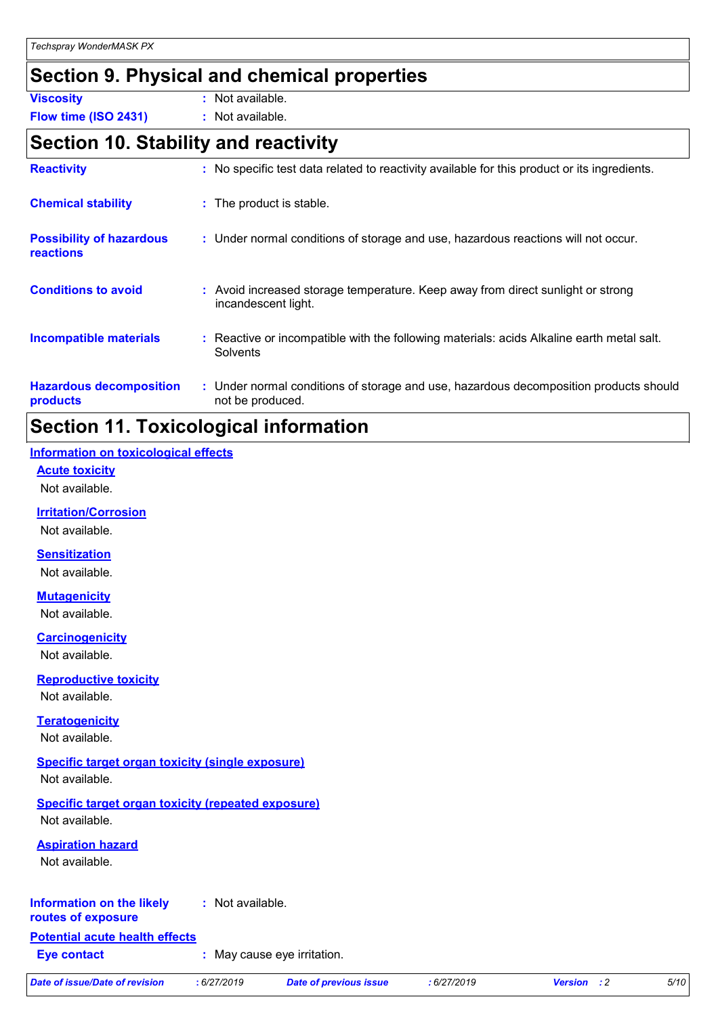### **Section 9. Physical and chemical properties**

**Viscosity :** Not available.

**Flow time (ISO 2431) :** Not available.

### **Section 10. Stability and reactivity**

| <b>Reactivity</b>                            | : No specific test data related to reactivity available for this product or its ingredients.              |
|----------------------------------------------|-----------------------------------------------------------------------------------------------------------|
| <b>Chemical stability</b>                    | : The product is stable.                                                                                  |
| <b>Possibility of hazardous</b><br>reactions | : Under normal conditions of storage and use, hazardous reactions will not occur.                         |
| <b>Conditions to avoid</b>                   | : Avoid increased storage temperature. Keep away from direct sunlight or strong<br>incandescent light.    |
| <b>Incompatible materials</b>                | Reactive or incompatible with the following materials: acids Alkaline earth metal salt.<br>Solvents       |
| <b>Hazardous decomposition</b><br>products   | : Under normal conditions of storage and use, hazardous decomposition products should<br>not be produced. |

### **Section 11. Toxicological information**

#### **Information on toxicological effects**

#### **Acute toxicity**

Not available.

#### **Irritation/Corrosion**

Not available.

#### **Sensitization**

Not available.

#### **Mutagenicity**

Not available.

#### **Carcinogenicity**

Not available.

#### **Reproductive toxicity**

Not available.

#### **Teratogenicity**

Not available.

### **Specific target organ toxicity (single exposure)**

Not available.

#### **Specific target organ toxicity (repeated exposure)** Not available.

#### **Aspiration hazard**

Not available.

#### **Information on the likely :** Not available.

#### **routes of exposure**

**Potential acute health effects**

**Eye contact :** May cause eye irritation.

```
Date of issue/Date of revision : 6/27/2019 Date of previous issue : 6/27/2019 Version : 2 5/10
```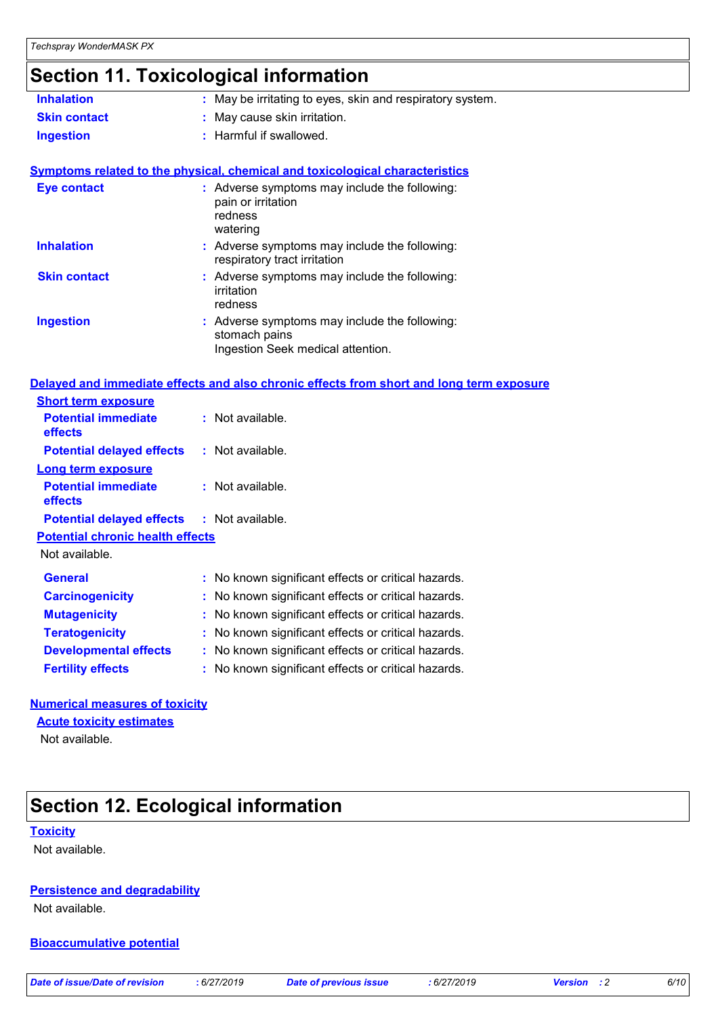### **Section 11. Toxicological information**

| <b>Inhalation</b>   | : May be irritating to eyes, skin and respiratory system.                                  |
|---------------------|--------------------------------------------------------------------------------------------|
| <b>Skin contact</b> | : May cause skin irritation.                                                               |
| <b>Ingestion</b>    | : Harmful if swallowed.                                                                    |
|                     | <b>Symptoms related to the physical, chemical and toxicological characteristics</b>        |
| <b>Eye contact</b>  | : Adverse symptoms may include the following:<br>pain or irritation<br>redness<br>watering |

| <b>Inhalation</b>   | : Adverse symptoms may include the following:<br>respiratory tract irritation                       |
|---------------------|-----------------------------------------------------------------------------------------------------|
| <b>Skin contact</b> | : Adverse symptoms may include the following:<br>irritation<br>redness                              |
| <b>Ingestion</b>    | : Adverse symptoms may include the following:<br>stomach pains<br>Ingestion Seek medical attention. |

#### **Delayed and immediate effects and also chronic effects from short and long term exposure**

| <b>Short term exposure</b>                        |                                                     |
|---------------------------------------------------|-----------------------------------------------------|
| <b>Potential immediate</b><br><b>effects</b>      | : Not available.                                    |
| <b>Potential delayed effects</b>                  | : Not available.                                    |
| <b>Long term exposure</b>                         |                                                     |
| <b>Potential immediate</b><br><b>effects</b>      | : Not available.                                    |
| <b>Potential delayed effects : Not available.</b> |                                                     |
| <b>Potential chronic health effects</b>           |                                                     |
| Not available.                                    |                                                     |
| General                                           | : No known significant effects or critical hazards. |
| <b>Carcinogenicity</b>                            | : No known significant effects or critical hazards. |
| <b>Mutagenicity</b>                               | : No known significant effects or critical hazards. |
| <b>Teratogenicity</b>                             | : No known significant effects or critical hazards. |
| <b>Developmental effects</b>                      | : No known significant effects or critical hazards. |
| <b>Fertility effects</b>                          | : No known significant effects or critical hazards. |

#### **Numerical measures of toxicity**

**Acute toxicity estimates**

Not available.

### **Section 12. Ecological information**

#### **Toxicity**

Not available.

#### **Persistence and degradability**

Not available.

#### **Bioaccumulative potential**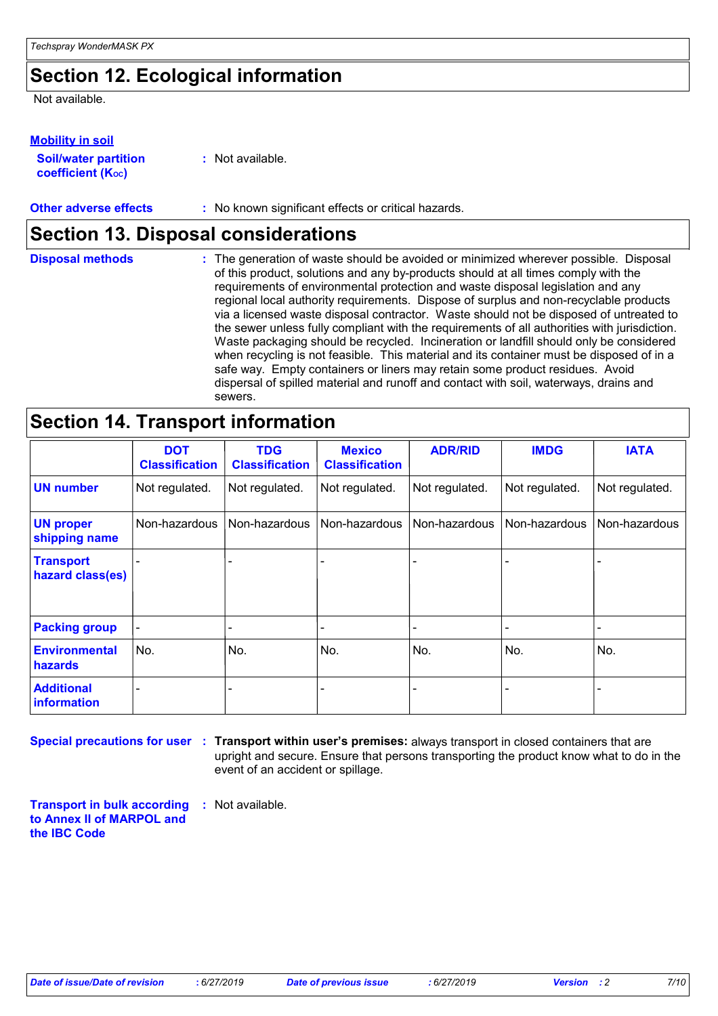### **Section 12. Ecological information**

Not available.

#### **Mobility in soil**

**Soil/water partition coefficient (KOC)**

**:** Not available.

#### **Other adverse effects** : No known significant effects or critical hazards.

### **Section 13. Disposal considerations**

| <b>Disposal methods</b> | : The generation of waste should be avoided or minimized wherever possible. Disposal<br>of this product, solutions and any by-products should at all times comply with the<br>requirements of environmental protection and waste disposal legislation and any<br>regional local authority requirements. Dispose of surplus and non-recyclable products<br>via a licensed waste disposal contractor. Waste should not be disposed of untreated to<br>the sewer unless fully compliant with the requirements of all authorities with jurisdiction.<br>Waste packaging should be recycled. Incineration or landfill should only be considered<br>when recycling is not feasible. This material and its container must be disposed of in a<br>safe way. Empty containers or liners may retain some product residues. Avoid<br>dispersal of spilled material and runoff and contact with soil, waterways, drains and |
|-------------------------|-----------------------------------------------------------------------------------------------------------------------------------------------------------------------------------------------------------------------------------------------------------------------------------------------------------------------------------------------------------------------------------------------------------------------------------------------------------------------------------------------------------------------------------------------------------------------------------------------------------------------------------------------------------------------------------------------------------------------------------------------------------------------------------------------------------------------------------------------------------------------------------------------------------------|
|                         | sewers.                                                                                                                                                                                                                                                                                                                                                                                                                                                                                                                                                                                                                                                                                                                                                                                                                                                                                                         |

### **Section 14. Transport information**

|                                         | <b>DOT</b><br><b>Classification</b> | <b>TDG</b><br><b>Classification</b> | <b>Mexico</b><br><b>Classification</b> | <b>ADR/RID</b> | <b>IMDG</b>              | <b>IATA</b>    |
|-----------------------------------------|-------------------------------------|-------------------------------------|----------------------------------------|----------------|--------------------------|----------------|
| <b>UN number</b>                        | Not regulated.                      | Not regulated.                      | Not regulated.                         | Not regulated. | Not regulated.           | Not regulated. |
| <b>UN proper</b><br>shipping name       | Non-hazardous                       | Non-hazardous                       | Non-hazardous                          | Non-hazardous  | Non-hazardous            | Non-hazardous  |
| <b>Transport</b><br>hazard class(es)    |                                     |                                     |                                        |                |                          | $\blacksquare$ |
| <b>Packing group</b>                    |                                     |                                     |                                        |                | $\overline{\phantom{a}}$ | -              |
| <b>Environmental</b><br><b>hazards</b>  | No.                                 | No.                                 | No.                                    | No.            | No.                      | No.            |
| <b>Additional</b><br><b>information</b> |                                     |                                     |                                        |                |                          | -              |

**Special precautions for user** : Transport within user's premises: always transport in closed containers that are upright and secure. Ensure that persons transporting the product know what to do in the event of an accident or spillage.

**Transport in bulk according :** Not available. **to Annex II of MARPOL and the IBC Code**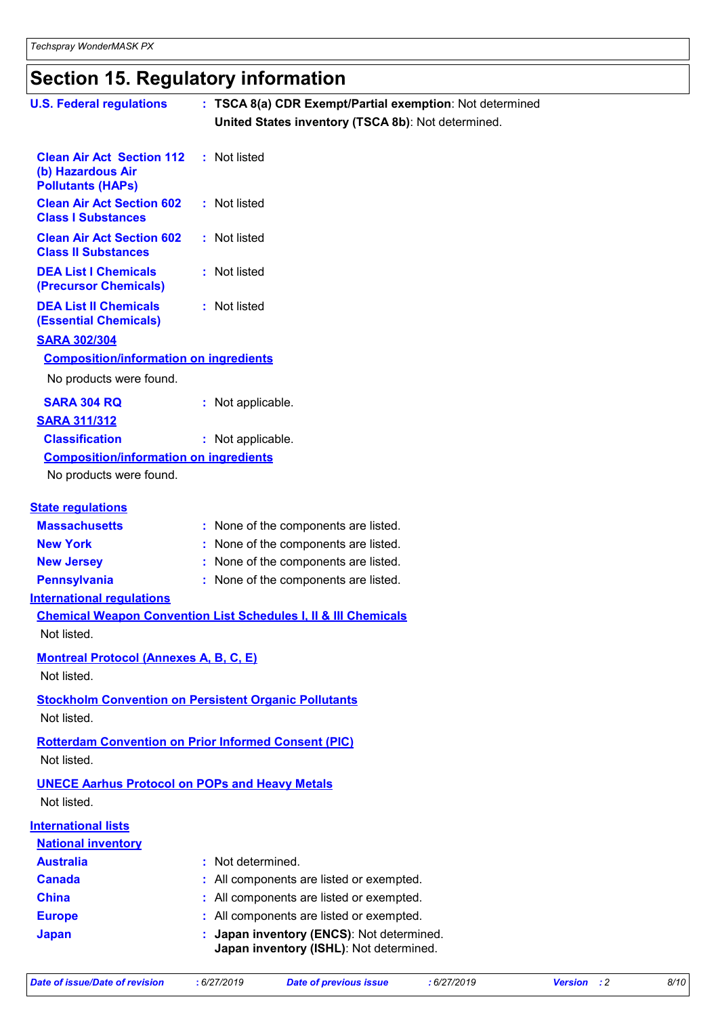## **Section 15. Regulatory information**

| <b>U.S. Federal regulations</b>                                                   | : TSCA 8(a) CDR Exempt/Partial exemption: Not determined<br>United States inventory (TSCA 8b): Not determined. |
|-----------------------------------------------------------------------------------|----------------------------------------------------------------------------------------------------------------|
| <b>Clean Air Act Section 112</b><br>(b) Hazardous Air<br><b>Pollutants (HAPs)</b> | : Not listed                                                                                                   |
| <b>Clean Air Act Section 602</b><br><b>Class I Substances</b>                     | : Not listed                                                                                                   |
| <b>Clean Air Act Section 602</b><br><b>Class II Substances</b>                    | : Not listed                                                                                                   |
| <b>DEA List I Chemicals</b><br>(Precursor Chemicals)                              | : Not listed                                                                                                   |
| <b>DEA List II Chemicals</b><br><b>(Essential Chemicals)</b>                      | : Not listed                                                                                                   |
| <b>SARA 302/304</b>                                                               |                                                                                                                |
| <b>Composition/information on ingredients</b>                                     |                                                                                                                |
| No products were found.                                                           |                                                                                                                |
| <b>SARA 304 RQ</b>                                                                | : Not applicable.                                                                                              |
| <b>SARA 311/312</b>                                                               |                                                                                                                |
| <b>Classification</b>                                                             | : Not applicable.                                                                                              |
| <b>Composition/information on ingredients</b>                                     |                                                                                                                |
| No products were found.                                                           |                                                                                                                |
| <b>State regulations</b>                                                          |                                                                                                                |
| <b>Massachusetts</b>                                                              | : None of the components are listed.                                                                           |
| <b>New York</b>                                                                   | : None of the components are listed.                                                                           |
| <b>New Jersey</b>                                                                 | : None of the components are listed.                                                                           |
| <b>Pennsylvania</b>                                                               | : None of the components are listed.                                                                           |
| <b>International regulations</b>                                                  |                                                                                                                |
|                                                                                   | <b>Chemical Weapon Convention List Schedules I, II &amp; III Chemicals</b>                                     |
| Not listed.                                                                       |                                                                                                                |
| <b>Montreal Protocol (Annexes A, B, C, E)</b>                                     |                                                                                                                |
| Not listed.                                                                       |                                                                                                                |
| Not listed.                                                                       | <b>Stockholm Convention on Persistent Organic Pollutants</b>                                                   |
| Not listed.                                                                       | <b>Rotterdam Convention on Prior Informed Consent (PIC)</b>                                                    |
| <b>UNECE Aarhus Protocol on POPs and Heavy Metals</b>                             |                                                                                                                |
| Not listed.                                                                       |                                                                                                                |
|                                                                                   |                                                                                                                |
| <b>International lists</b><br><b>National inventory</b>                           |                                                                                                                |
| <b>Australia</b>                                                                  | : Not determined.                                                                                              |
| <b>Canada</b>                                                                     | All components are listed or exempted.                                                                         |
| <b>China</b>                                                                      | All components are listed or exempted.                                                                         |
| <b>Europe</b>                                                                     | : All components are listed or exempted.                                                                       |
| <b>Japan</b>                                                                      | Japan inventory (ENCS): Not determined.<br>Japan inventory (ISHL): Not determined.                             |
|                                                                                   |                                                                                                                |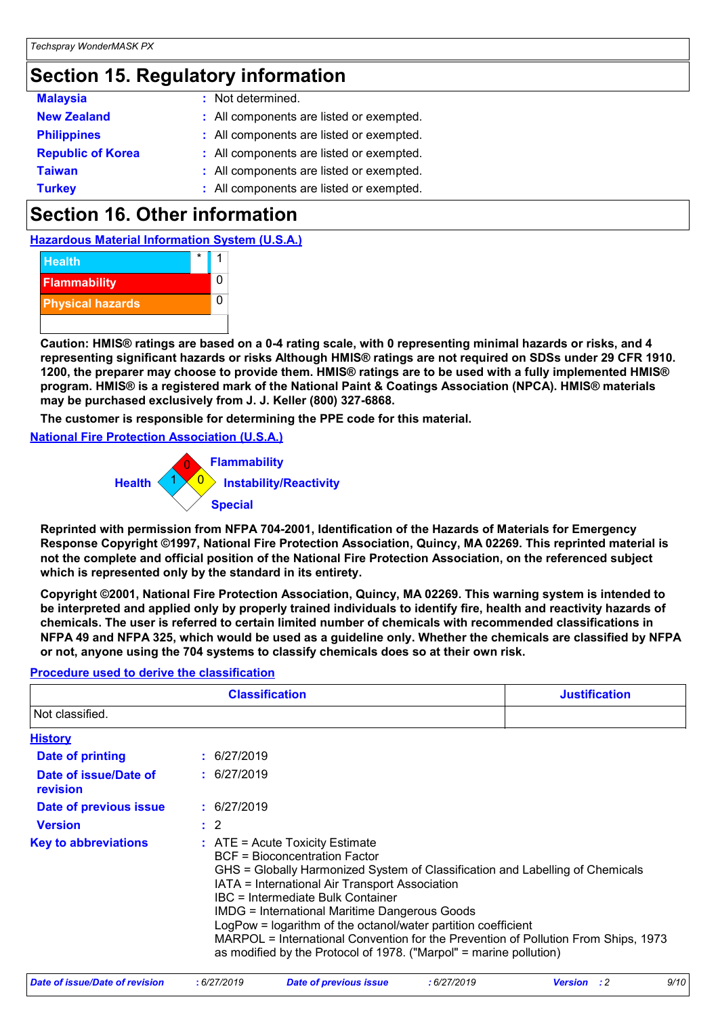### **Section 15. Regulatory information**

| <b>Malaysia</b>          | : Not determined.                        |
|--------------------------|------------------------------------------|
| <b>New Zealand</b>       | : All components are listed or exempted. |
| <b>Philippines</b>       | : All components are listed or exempted. |
| <b>Republic of Korea</b> | : All components are listed or exempted. |
| <b>Taiwan</b>            | : All components are listed or exempted. |
| <b>Turkey</b>            | : All components are listed or exempted. |

### **Section 16. Other information**

**Hazardous Material Information System (U.S.A.)**



**Caution: HMIS® ratings are based on a 0-4 rating scale, with 0 representing minimal hazards or risks, and 4 representing significant hazards or risks Although HMIS® ratings are not required on SDSs under 29 CFR 1910. 1200, the preparer may choose to provide them. HMIS® ratings are to be used with a fully implemented HMIS® program. HMIS® is a registered mark of the National Paint & Coatings Association (NPCA). HMIS® materials may be purchased exclusively from J. J. Keller (800) 327-6868.**

**The customer is responsible for determining the PPE code for this material.**

**National Fire Protection Association (U.S.A.)**



**Reprinted with permission from NFPA 704-2001, Identification of the Hazards of Materials for Emergency Response Copyright ©1997, National Fire Protection Association, Quincy, MA 02269. This reprinted material is not the complete and official position of the National Fire Protection Association, on the referenced subject which is represented only by the standard in its entirety.**

**Copyright ©2001, National Fire Protection Association, Quincy, MA 02269. This warning system is intended to be interpreted and applied only by properly trained individuals to identify fire, health and reactivity hazards of chemicals. The user is referred to certain limited number of chemicals with recommended classifications in NFPA 49 and NFPA 325, which would be used as a guideline only. Whether the chemicals are classified by NFPA or not, anyone using the 704 systems to classify chemicals does so at their own risk.**

#### **Procedure used to derive the classification**

|                                   | <b>Classification</b>                                                                                                                                                                                                                                                                                                                                                                                                                                                                                                                    |  |
|-----------------------------------|------------------------------------------------------------------------------------------------------------------------------------------------------------------------------------------------------------------------------------------------------------------------------------------------------------------------------------------------------------------------------------------------------------------------------------------------------------------------------------------------------------------------------------------|--|
| Not classified.                   |                                                                                                                                                                                                                                                                                                                                                                                                                                                                                                                                          |  |
| <b>History</b>                    |                                                                                                                                                                                                                                                                                                                                                                                                                                                                                                                                          |  |
| Date of printing                  | : 6/27/2019                                                                                                                                                                                                                                                                                                                                                                                                                                                                                                                              |  |
| Date of issue/Date of<br>revision | : 6/27/2019                                                                                                                                                                                                                                                                                                                                                                                                                                                                                                                              |  |
| Date of previous issue            | : 6/27/2019                                                                                                                                                                                                                                                                                                                                                                                                                                                                                                                              |  |
| <b>Version</b>                    | $\therefore$ 2                                                                                                                                                                                                                                                                                                                                                                                                                                                                                                                           |  |
| <b>Key to abbreviations</b>       | $\therefore$ ATE = Acute Toxicity Estimate<br>BCF = Bioconcentration Factor<br>GHS = Globally Harmonized System of Classification and Labelling of Chemicals<br>IATA = International Air Transport Association<br>IBC = Intermediate Bulk Container<br><b>IMDG = International Maritime Dangerous Goods</b><br>LogPow = logarithm of the octanol/water partition coefficient<br>MARPOL = International Convention for the Prevention of Pollution From Ships, 1973<br>as modified by the Protocol of 1978. ("Marpol" = marine pollution) |  |

|  | Date of issue/Date of revision | 6/27/2019 | Date of previous issue | : 6/27/2019 | Version | 9/10 |
|--|--------------------------------|-----------|------------------------|-------------|---------|------|
|--|--------------------------------|-----------|------------------------|-------------|---------|------|